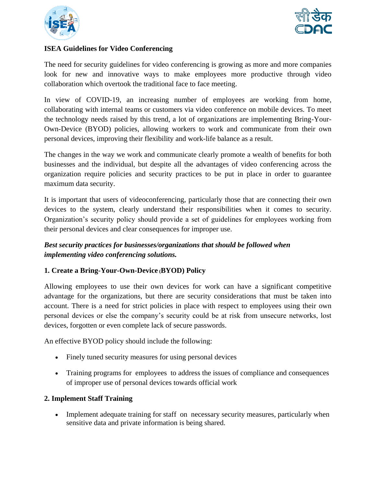



# **ISEA Guidelines for Video Conferencing**

The need for security guidelines for video conferencing is growing as more and more companies look for new and innovative ways to make employees more productive through video collaboration which overtook the traditional face to face meeting.

In view of COVID-19, an increasing number of employees are working from home, collaborating with internal teams or customers via video conference on mobile devices. To meet the technology needs raised by this trend, a lot of organizations are implementing Bring-Your-Own-Device (BYOD) policies, allowing workers to work and communicate from their own personal devices, improving their flexibility and work-life balance as a result.

The changes in the way we work and communicate clearly promote a wealth of benefits for both businesses and the individual, but despite all the advantages of video conferencing across the organization require policies and security practices to be put in place in order to guarantee maximum data security.

It is important that users of videoconferencing, particularly those that are connecting their own devices to the system, clearly understand their responsibilities when it comes to security. Organization's security policy should provide a set of guidelines for employees working from their personal devices and clear consequences for improper use.

# *Best security practices for businesses/organizations that should be followed when implementing video conferencing solutions.*

# **1. Create a [Bring-Your-Own-Device](https://www.videocall.co.uk/insights/whitepapers/bring-your-own-device-byod-issues-and-risks) (BYOD) Policy**

Allowing employees to use their own devices for work can have a significant competitive advantage for the organizations, but there are security considerations that must be taken into account. There is a need for strict policies in place with respect to employees using their own personal devices or else the company's security could be at risk from unsecure networks, lost devices, forgotten or even complete lack of secure passwords.

An effective BYOD policy should include the following:

- Finely tuned security measures for using personal devices
- Training programs for employees to address the issues of compliance and consequences of improper use of personal devices towards official work

## **2. Implement Staff Training**

• Implement adequate training for staff on necessary security measures, particularly when sensitive data and private information is being shared.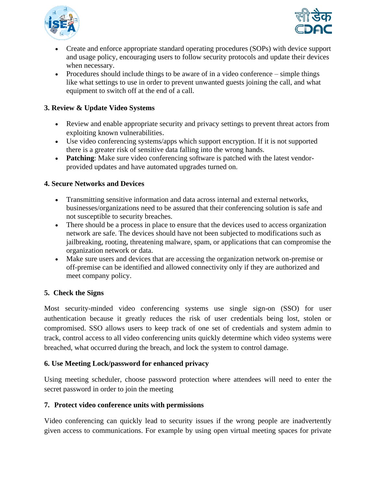



- Create and enforce appropriate standard operating procedures (SOPs) with device support and usage policy, encouraging users to follow security protocols and update their devices when necessary.
- Procedures should include things to be aware of in a video conference simple things like what settings to use in order to prevent unwanted guests joining the call, and what equipment to switch off at the end of a call.

# **3. Review & Update Video Systems**

- Review and enable appropriate security and privacy settings to prevent threat actors from exploiting known vulnerabilities.
- Use video conferencing systems/apps which support encryption. If it is not supported there is a greater risk of sensitive data falling into the wrong hands.
- **Patching**: Make sure video conferencing software is patched with the latest vendorprovided updates and have automated upgrades turned on.

## **4. Secure Networks and Devices**

- Transmitting sensitive information and data across internal and external networks, businesses/organizations need to be assured that their conferencing solution is safe and not susceptible to security breaches.
- There should be a process in place to ensure that the devices used to access organization network are safe. The devices should have not been subjected to modifications such as jailbreaking, rooting, threatening malware, spam, or applications that can compromise the organization network or data.
- Make sure users and devices that are accessing the organization network on-premise or off-premise can be identified and allowed connectivity only if they are authorized and meet company policy.

## **5. Check the Signs**

Most security-minded video conferencing systems use single sign-on (SSO) for user authentication because it greatly reduces the risk of user credentials being lost, stolen or compromised. SSO allows users to keep track of one set of credentials and system admin to track, control access to all video conferencing units quickly determine which video systems were breached, what occurred during the breach, and lock the system to control damage.

## **6. Use Meeting Lock/password for enhanced privacy**

Using meeting scheduler, choose password protection where attendees will need to enter the secret password in order to join the meeting

## **7. Protect video conference units with permissions**

Video conferencing can quickly lead to security issues if the wrong people are inadvertently given access to communications. For example by using open virtual meeting spaces for private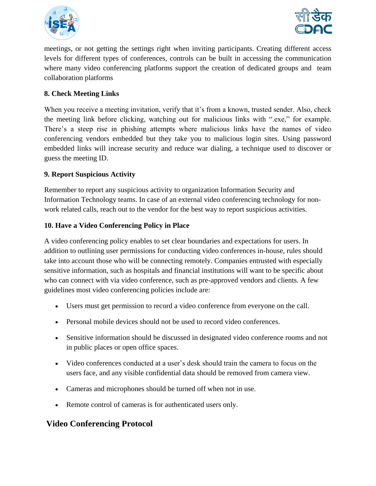



meetings, or not getting the settings right when inviting participants. Creating different access levels for different types of conferences, controls can be built in accessing the communication where many video conferencing platforms support the creation of dedicated groups and team collaboration platforms

# **8. Check Meeting Links**

When you receive a meeting invitation, verify that it's from a known, trusted sender. Also, check the meeting link before clicking, watching out for malicious links with ".exe," for example. There's a steep rise in phishing attempts where malicious links have the names of video conferencing vendors embedded but they take you to malicious login sites. Using password embedded links will increase security and reduce war dialing, a technique used to discover or guess the meeting ID.

## **9. Report Suspicious Activity**

Remember to report any suspicious activity to organization Information Security and Information Technology teams. In case of an external video conferencing technology for nonwork related calls, reach out to the vendor for the best way to report suspicious activities.

## **10. Have a Video Conferencing Policy in Place**

A video conferencing policy enables to set clear boundaries and expectations for users. In addition to outlining user permissions for conducting video conferences in-house, rules should take into account those who will be connecting remotely. Companies entrusted with especially sensitive information, such as hospitals and financial institutions will want to be specific about who can connect with via video conference, such as pre-approved vendors and clients. A few guidelines most video conferencing policies include are:

- Users must get permission to record a video conference from everyone on the call.
- Personal mobile devices should not be used to record video conferences.
- Sensitive information should be discussed in designated video conference rooms and not in public places or open office spaces.
- Video conferences conducted at a user's desk should train the camera to focus on the users face, and any visible confidential data should be removed from camera view.
- Cameras and microphones should be turned off when not in use.
- Remote control of cameras is for authenticated users only.

# **Video Conferencing Protocol**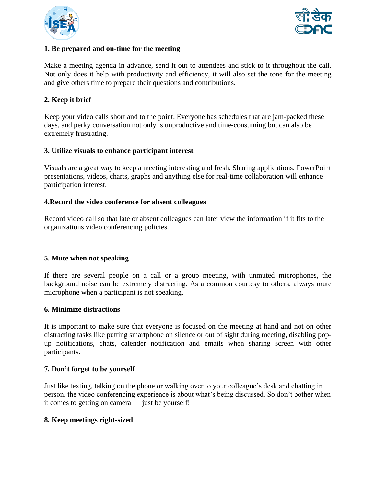



#### **1. Be prepared and on-time for the meeting**

Make a meeting agenda in advance, send it out to attendees and stick to it throughout the call. Not only does it help with productivity and efficiency, it will also set the tone for the meeting and give others time to prepare their questions and contributions.

## **2. Keep it brief**

Keep your video calls short and to the point. Everyone has schedules that are jam-packed these days, and perky conversation not only is unproductive and time-consuming but can also be extremely frustrating.

#### **3. Utilize visuals to enhance participant interest**

Visuals are a great way to keep a meeting interesting and fresh. Sharing applications, PowerPoint presentations, [videos,](https://www.postaffiliatepro.com/blog/how-to-use-videos-for-affiliate-marketing/) charts, graphs and anything else for real-time collaboration will enhance participation interest.

#### **4[.Record the video conference](https://www.lifesize.com/en/video-conferencing-blog/conference-call-recording) for absent colleagues**

[Record video call](https://www.lifesize.com/en/video-conferencing-app/recording-streaming) so that late or absent colleagues can later view the information if it fits to the organizations video conferencing policies.

## **5. Mute when not speaking**

If there are several people on a call or a group meeting, with unmuted microphones, the background noise can be extremely distracting. As a common courtesy to others, always mute microphone when a participant is not speaking.

#### **6. Minimize distractions**

It is important to make sure that everyone is focused on the meeting at hand and not on other distracting tasks like putting smartphone on silence or out of sight during meeting, disabling popup notifications, chats, calender notification and emails when sharing screen with other participants.

#### **7. Don't forget to be yourself**

Just like texting, talking on the phone or walking over to your colleague's desk and chatting in person, the video conferencing experience is about what's being discussed. So don't bother when it comes to getting on camera — just be yourself!

#### **8. Keep meetings right-sized**